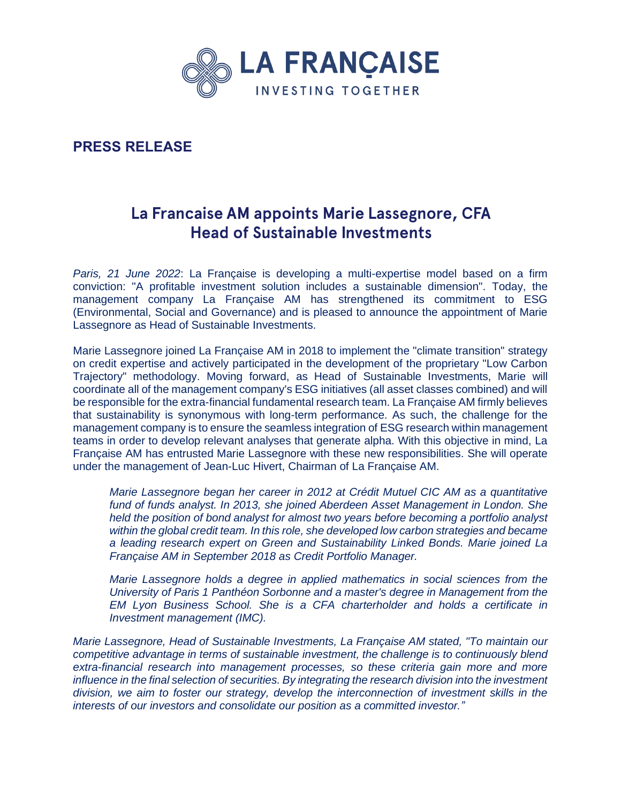

# **PRESS RELEASE**

# La Francaise AM appoints Marie Lassegnore, CFA **Head of Sustainable Investments**

*Paris, 21 June 2022*: La Française is developing a multi-expertise model based on a firm conviction: "A profitable investment solution includes a sustainable dimension". Today, the management company La Française AM has strengthened its commitment to ESG (Environmental, Social and Governance) and is pleased to announce the appointment of Marie Lassegnore as Head of Sustainable Investments.

Marie Lassegnore joined La Française AM in 2018 to implement the "climate transition" strategy on credit expertise and actively participated in the development of the proprietary "Low Carbon Trajectory" methodology. Moving forward, as Head of Sustainable Investments, Marie will coordinate all of the management company's ESG initiatives (all asset classes combined) and will be responsible for the extra-financial fundamental research team. La Française AM firmly believes that sustainability is synonymous with long-term performance. As such, the challenge for the management company is to ensure the seamless integration of ESG research within management teams in order to develop relevant analyses that generate alpha. With this objective in mind, La Française AM has entrusted Marie Lassegnore with these new responsibilities. She will operate under the management of Jean-Luc Hivert, Chairman of La Française AM.

*Marie Lassegnore began her career in 2012 at Crédit Mutuel CIC AM as a quantitative fund of funds analyst. In 2013, she joined Aberdeen Asset Management in London. She held the position of bond analyst for almost two years before becoming a portfolio analyst*  within the global credit team. In this role, she developed low carbon strategies and became *a leading research expert on Green and Sustainability Linked Bonds. Marie joined La Française AM in September 2018 as Credit Portfolio Manager.*

*Marie Lassegnore holds a degree in applied mathematics in social sciences from the University of Paris 1 Panthéon Sorbonne and a master's degree in Management from the EM Lyon Business School. She is a CFA charterholder and holds a certificate in Investment management (IMC).*

*Marie Lassegnore, Head of Sustainable Investments, La Française AM stated, "To maintain our competitive advantage in terms of sustainable investment, the challenge is to continuously blend extra-financial research into management processes, so these criteria gain more and more influence in the final selection of securities. By integrating the research division into the investment division, we aim to foster our strategy, develop the interconnection of investment skills in the interests of our investors and consolidate our position as a committed investor."*